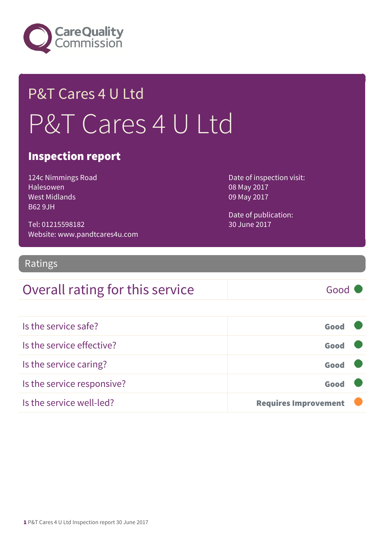

# P&T Cares 4 U Ltd P&T Cares 4 U Ltd

#### Inspection report

124c Nimmings Road Halesowen West Midlands B62 9JH

Tel: 01215598182 Website: www.pandtcares4u.com Date of inspection visit: 08 May 2017 09 May 2017

Date of publication: 30 June 2017

#### Ratings

#### Overall rating for this service Good

| Is the service safe?       | Good                        |  |
|----------------------------|-----------------------------|--|
| Is the service effective?  | Good                        |  |
| Is the service caring?     | Good                        |  |
| Is the service responsive? | Good                        |  |
| Is the service well-led?   | <b>Requires Improvement</b> |  |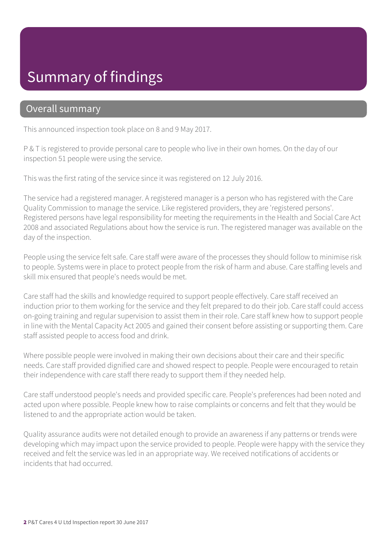### Summary of findings

#### Overall summary

This announced inspection took place on 8 and 9 May 2017.

P & T is registered to provide personal care to people who live in their own homes. On the day of our inspection 51 people were using the service.

This was the first rating of the service since it was registered on 12 July 2016.

The service had a registered manager. A registered manager is a person who has registered with the Care Quality Commission to manage the service. Like registered providers, they are 'registered persons'. Registered persons have legal responsibility for meeting the requirements in the Health and Social Care Act 2008 and associated Regulations about how the service is run. The registered manager was available on the day of the inspection.

People using the service felt safe. Care staff were aware of the processes they should follow to minimise risk to people. Systems were in place to protect people from the risk of harm and abuse. Care staffing levels and skill mix ensured that people's needs would be met.

Care staff had the skills and knowledge required to support people effectively. Care staff received an induction prior to them working for the service and they felt prepared to do their job. Care staff could access on-going training and regular supervision to assist them in their role. Care staff knew how to support people in line with the Mental Capacity Act 2005 and gained their consent before assisting or supporting them. Care staff assisted people to access food and drink.

Where possible people were involved in making their own decisions about their care and their specific needs. Care staff provided dignified care and showed respect to people. People were encouraged to retain their independence with care staff there ready to support them if they needed help.

Care staff understood people's needs and provided specific care. People's preferences had been noted and acted upon where possible. People knew how to raise complaints or concerns and felt that they would be listened to and the appropriate action would be taken.

Quality assurance audits were not detailed enough to provide an awareness if any patterns or trends were developing which may impact upon the service provided to people. People were happy with the service they received and felt the service was led in an appropriate way. We received notifications of accidents or incidents that had occurred.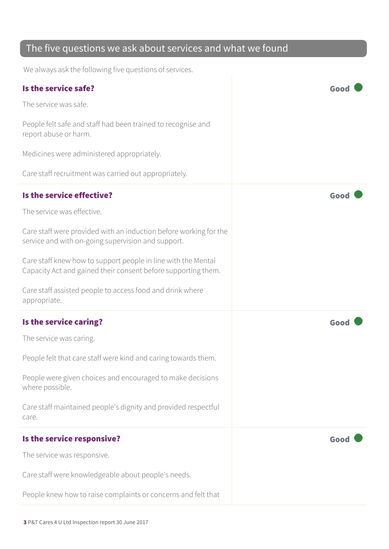#### The five questions we ask about services and what we found

We always ask the following five questions of services.

| Is the service safe?                                                                                                           | Goo  |
|--------------------------------------------------------------------------------------------------------------------------------|------|
| The service was safe.                                                                                                          |      |
| People felt safe and staff had been trained to recognise and<br>report abuse or harm.                                          |      |
| Medicines were administered appropriately.                                                                                     |      |
| Care staff recruitment was carried out appropriately.                                                                          |      |
| Is the service effective?                                                                                                      | Good |
| The service was effective.                                                                                                     |      |
| Care staff were provided with an induction before working for the<br>service and with on-going supervision and support.        |      |
| Care staff knew how to support people in line with the Mental<br>Capacity Act and gained their consent before supporting them. |      |
| Care staff assisted people to access food and drink where<br>appropriate.                                                      |      |
|                                                                                                                                |      |
| Is the service caring?                                                                                                         | Good |
| The service was caring.                                                                                                        |      |
| People felt that care staff were kind and caring towards them.                                                                 |      |
| People were given choices and encouraged to make decisions<br>where possible.                                                  |      |
| Care staff maintained people's dignity and provided respectful<br>care.                                                        |      |
| Is the service responsive?                                                                                                     | Good |
| The service was responsive.                                                                                                    |      |
| Care staff were knowledgeable about people's needs.                                                                            |      |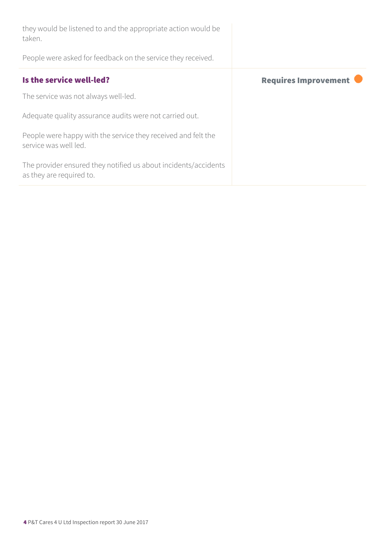| they would be listened to and the appropriate action would be<br>taken.                     |                             |
|---------------------------------------------------------------------------------------------|-----------------------------|
| People were asked for feedback on the service they received.                                |                             |
| Is the service well-led?                                                                    | <b>Requires Improvement</b> |
| The service was not always well-led.                                                        |                             |
| Adequate quality assurance audits were not carried out.                                     |                             |
| People were happy with the service they received and felt the<br>service was well led.      |                             |
| The provider ensured they notified us about incidents/accidents<br>as they are required to. |                             |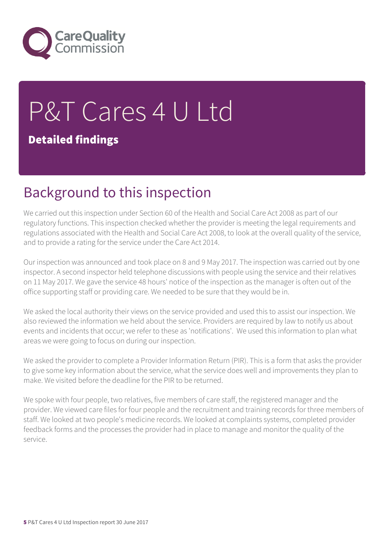

# P&T Cares 4 U Ltd Detailed findings

### Background to this inspection

We carried out this inspection under Section 60 of the Health and Social Care Act 2008 as part of our regulatory functions. This inspection checked whether the provider is meeting the legal requirements and regulations associated with the Health and Social Care Act 2008, to look at the overall quality of the service, and to provide a rating for the service under the Care Act 2014.

Our inspection was announced and took place on 8 and 9 May 2017. The inspection was carried out by one inspector. A second inspector held telephone discussions with people using the service and their relatives on 11 May 2017. We gave the service 48 hours' notice of the inspection as the manager is often out of the office supporting staff or providing care. We needed to be sure that they would be in.

We asked the local authority their views on the service provided and used this to assist our inspection. We also reviewed the information we held about the service. Providers are required by law to notify us about events and incidents that occur; we refer to these as 'notifications'. We used this information to plan what areas we were going to focus on during our inspection.

We asked the provider to complete a Provider Information Return (PIR). This is a form that asks the provider to give some key information about the service, what the service does well and improvements they plan to make. We visited before the deadline for the PIR to be returned.

We spoke with four people, two relatives, five members of care staff, the registered manager and the provider. We viewed care files for four people and the recruitment and training records for three members of staff. We looked at two people's medicine records. We looked at complaints systems, completed provider feedback forms and the processes the provider had in place to manage and monitor the quality of the service.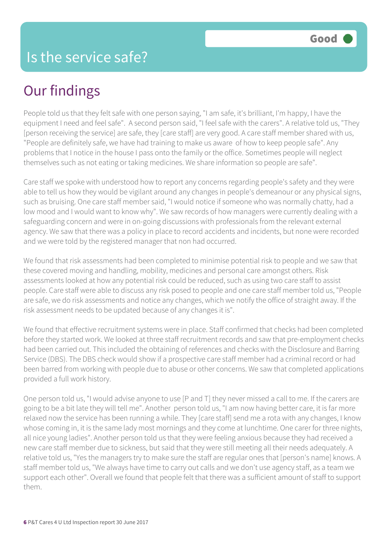## Our findings

People told us that they felt safe with one person saying, "I am safe, it's brilliant, I'm happy, I have the equipment I need and feel safe". A second person said, "I feel safe with the carers". A relative told us, "They [person receiving the service] are safe, they [care staff] are very good. A care staff member shared with us, "People are definitely safe, we have had training to make us aware of how to keep people safe". Any problems that I notice in the house I pass onto the family or the office. Sometimes people will neglect themselves such as not eating or taking medicines. We share information so people are safe".

Care staff we spoke with understood how to report any concerns regarding people's safety and they were able to tell us how they would be vigilant around any changes in people's demeanour or any physical signs, such as bruising. One care staff member said, "I would notice if someone who was normally chatty, had a low mood and I would want to know why". We saw records of how managers were currently dealing with a safeguarding concern and were in on-going discussions with professionals from the relevant external agency. We saw that there was a policy in place to record accidents and incidents, but none were recorded and we were told by the registered manager that non had occurred.

We found that risk assessments had been completed to minimise potential risk to people and we saw that these covered moving and handling, mobility, medicines and personal care amongst others. Risk assessments looked at how any potential risk could be reduced, such as using two care staff to assist people. Care staff were able to discuss any risk posed to people and one care staff member told us, "People are safe, we do risk assessments and notice any changes, which we notify the office of straight away. If the risk assessment needs to be updated because of any changes it is".

We found that effective recruitment systems were in place. Staff confirmed that checks had been completed before they started work. We looked at three staff recruitment records and saw that pre-employment checks had been carried out. This included the obtaining of references and checks with the Disclosure and Barring Service (DBS). The DBS check would show if a prospective care staff member had a criminal record or had been barred from working with people due to abuse or other concerns. We saw that completed applications provided a full work history.

One person told us, "I would advise anyone to use [P and T] they never missed a call to me. If the carers are going to be a bit late they will tell me". Another person told us, "I am now having better care, it is far more relaxed now the service has been running a while. They [care staff] send me a rota with any changes, I know whose coming in, it is the same lady most mornings and they come at lunchtime. One carer for three nights, all nice young ladies". Another person told us that they were feeling anxious because they had received a new care staff member due to sickness, but said that they were still meeting all their needs adequately. A relative told us, "Yes the managers try to make sure the staff are regular ones that [person's name] knows. A staff member told us, "We always have time to carry out calls and we don't use agency staff, as a team we support each other". Overall we found that people felt that there was a sufficient amount of staff to support them.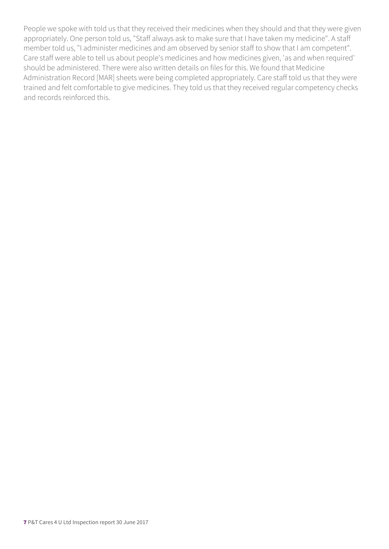People we spoke with told us that they received their medicines when they should and that they were given appropriately. One person told us, "Staff always ask to make sure that I have taken my medicine". A staff member told us, "I administer medicines and am observed by senior staff to show that I am competent". Care staff were able to tell us about people's medicines and how medicines given, 'as and when required' should be administered. There were also written details on files for this. We found that Medicine Administration Record [MAR] sheets were being completed appropriately. Care staff told us that they were trained and felt comfortable to give medicines. They told us that they received regular competency checks and records reinforced this.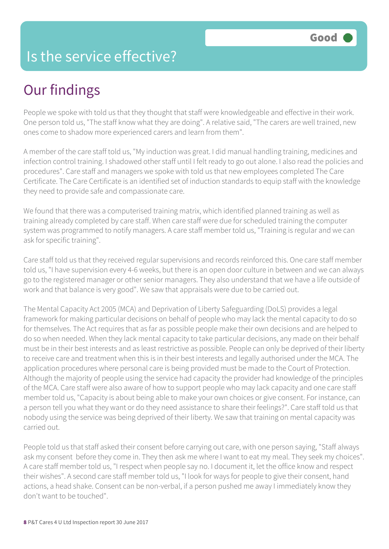#### Is the service effective?

## Our findings

People we spoke with told us that they thought that staff were knowledgeable and effective in their work. One person told us, "The staff know what they are doing". A relative said, "The carers are well trained, new ones come to shadow more experienced carers and learn from them".

A member of the care staff told us, "My induction was great. I did manual handling training, medicines and infection control training. I shadowed other staff until I felt ready to go out alone. I also read the policies and procedures". Care staff and managers we spoke with told us that new employees completed The Care Certificate. The Care Certificate is an identified set of induction standards to equip staff with the knowledge they need to provide safe and compassionate care.

We found that there was a computerised training matrix, which identified planned training as well as training already completed by care staff. When care staff were due for scheduled training the computer system was programmed to notify managers. A care staff member told us, "Training is regular and we can ask for specific training".

Care staff told us that they received regular supervisions and records reinforced this. One care staff member told us, "I have supervision every 4-6 weeks, but there is an open door culture in between and we can always go to the registered manager or other senior managers. They also understand that we have a life outside of work and that balance is very good". We saw that appraisals were due to be carried out.

The Mental Capacity Act 2005 (MCA) and Deprivation of Liberty Safeguarding (DoLS) provides a legal framework for making particular decisions on behalf of people who may lack the mental capacity to do so for themselves. The Act requires that as far as possible people make their own decisions and are helped to do so when needed. When they lack mental capacity to take particular decisions, any made on their behalf must be in their best interests and as least restrictive as possible. People can only be deprived of their liberty to receive care and treatment when this is in their best interests and legally authorised under the MCA. The application procedures where personal care is being provided must be made to the Court of Protection. Although the majority of people using the service had capacity the provider had knowledge of the principles of the MCA. Care staff were also aware of how to support people who may lack capacity and one care staff member told us, "Capacity is about being able to make your own choices or give consent. For instance, can a person tell you what they want or do they need assistance to share their feelings?". Care staff told us that nobody using the service was being deprived of their liberty. We saw that training on mental capacity was carried out.

People told us that staff asked their consent before carrying out care, with one person saying, "Staff always ask my consent before they come in. They then ask me where I want to eat my meal. They seek my choices". A care staff member told us, "I respect when people say no. I document it, let the office know and respect their wishes". A second care staff member told us, "I look for ways for people to give their consent, hand actions, a head shake. Consent can be non-verbal, if a person pushed me away I immediately know they don't want to be touched".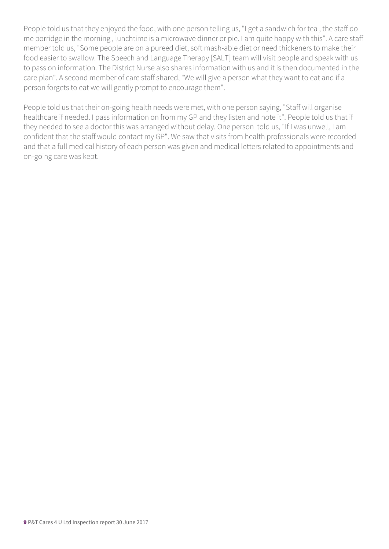People told us that they enjoyed the food, with one person telling us, "I get a sandwich for tea , the staff do me porridge in the morning , lunchtime is a microwave dinner or pie. I am quite happy with this". A care staff member told us, "Some people are on a pureed diet, soft mash-able diet or need thickeners to make their food easier to swallow. The Speech and Language Therapy [SALT] team will visit people and speak with us to pass on information. The District Nurse also shares information with us and it is then documented in the care plan". A second member of care staff shared, "We will give a person what they want to eat and if a person forgets to eat we will gently prompt to encourage them".

People told us that their on-going health needs were met, with one person saying, "Staff will organise healthcare if needed. I pass information on from my GP and they listen and note it". People told us that if they needed to see a doctor this was arranged without delay. One person told us, "If I was unwell, I am confident that the staff would contact my GP". We saw that visits from health professionals were recorded and that a full medical history of each person was given and medical letters related to appointments and on-going care was kept.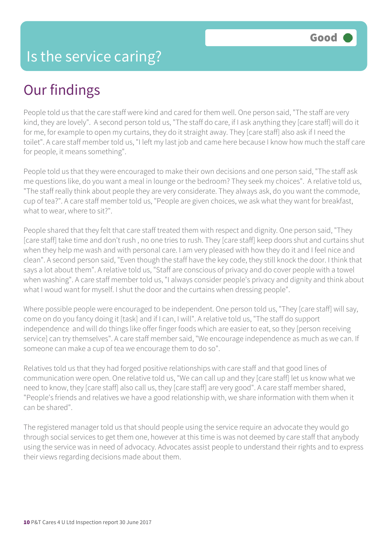## Our findings

People told us that the care staff were kind and cared for them well. One person said, "The staff are very kind, they are lovely". A second person told us, "The staff do care, if I ask anything they [care staff] will do it for me, for example to open my curtains, they do it straight away. They [care staff] also ask if I need the toilet". A care staff member told us, "I left my last job and came here because I know how much the staff care for people, it means something".

People told us that they were encouraged to make their own decisions and one person said, "The staff ask me questions like, do you want a meal in lounge or the bedroom? They seek my choices". A relative told us, "The staff really think about people they are very considerate. They always ask, do you want the commode, cup of tea?". A care staff member told us, "People are given choices, we ask what they want for breakfast, what to wear, where to sit?".

People shared that they felt that care staff treated them with respect and dignity. One person said, "They [care staff] take time and don't rush , no one tries to rush. They [care staff] keep doors shut and curtains shut when they help me wash and with personal care. I am very pleased with how they do it and I feel nice and clean". A second person said, "Even though the staff have the key code, they still knock the door. I think that says a lot about them". A relative told us, "Staff are conscious of privacy and do cover people with a towel when washing". A care staff member told us, "I always consider people's privacy and dignity and think about what I woud want for myself. I shut the door and the curtains when dressing people".

Where possible people were encouraged to be independent. One person told us, "They [care staff] will say, come on do you fancy doing it [task] and if I can, I will". A relative told us, "The staff do support independence and will do things like offer finger foods which are easier to eat, so they [person receiving service] can try themselves". A care staff member said, "We encourage independence as much as we can. If someone can make a cup of tea we encourage them to do so".

Relatives told us that they had forged positive relationships with care staff and that good lines of communication were open. One relative told us, "We can call up and they [care staff] let us know what we need to know, they [care staff] also call us, they [care staff] are very good". A care staff member shared, "People's friends and relatives we have a good relationship with, we share information with them when it can be shared".

The registered manager told us that should people using the service require an advocate they would go through social services to get them one, however at this time is was not deemed by care staff that anybody using the service was in need of advocacy. Advocates assist people to understand their rights and to express their views regarding decisions made about them.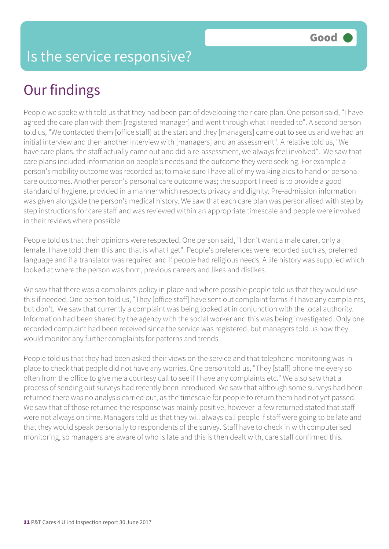# Our findings

People we spoke with told us that they had been part of developing their care plan. One person said, "I have agreed the care plan with them [registered manager] and went through what I needed to". A second person told us, "We contacted them [office staff] at the start and they [managers] came out to see us and we had an initial interview and then another interview with [managers] and an assessment". A relative told us, "We have care plans, the staff actually came out and did a re-assessment, we always feel involved". We saw that care plans included information on people's needs and the outcome they were seeking. For example a person's mobility outcome was recorded as; to make sure I have all of my walking aids to hand or personal care outcomes. Another person's personal care outcome was; the support I need is to provide a good standard of hygiene, provided in a manner which respects privacy and dignity. Pre-admission information was given alongside the person's medical history. We saw that each care plan was personalised with step by step instructions for care staff and was reviewed within an appropriate timescale and people were involved in their reviews where possible.

People told us that their opinions were respected. One person said, "I don't want a male carer, only a female. I have told them this and that is what I get". People's preferences were recorded such as, preferred language and if a translator was required and if people had religious needs. A life history was supplied which looked at where the person was born, previous careers and likes and dislikes.

We saw that there was a complaints policy in place and where possible people told us that they would use this if needed. One person told us, "They [office staff] have sent out complaint forms if I have any complaints, but don't. We saw that currently a complaint was being looked at in conjunction with the local authority. Information had been shared by the agency with the social worker and this was being investigated. Only one recorded complaint had been received since the service was registered, but managers told us how they would monitor any further complaints for patterns and trends.

People told us that they had been asked their views on the service and that telephone monitoring was in place to check that people did not have any worries. One person told us, "They [staff] phone me every so often from the office to give me a courtesy call to see if I have any complaints etc." We also saw that a process of sending out surveys had recently been introduced. We saw that although some surveys had been returned there was no analysis carried out, as the timescale for people to return them had not yet passed. We saw that of those returned the response was mainly positive, however a few returned stated that staff were not always on time. Managers told us that they will always call people if staff were going to be late and that they would speak personally to respondents of the survey. Staff have to check in with computerised monitoring, so managers are aware of who is late and this is then dealt with, care staff confirmed this.